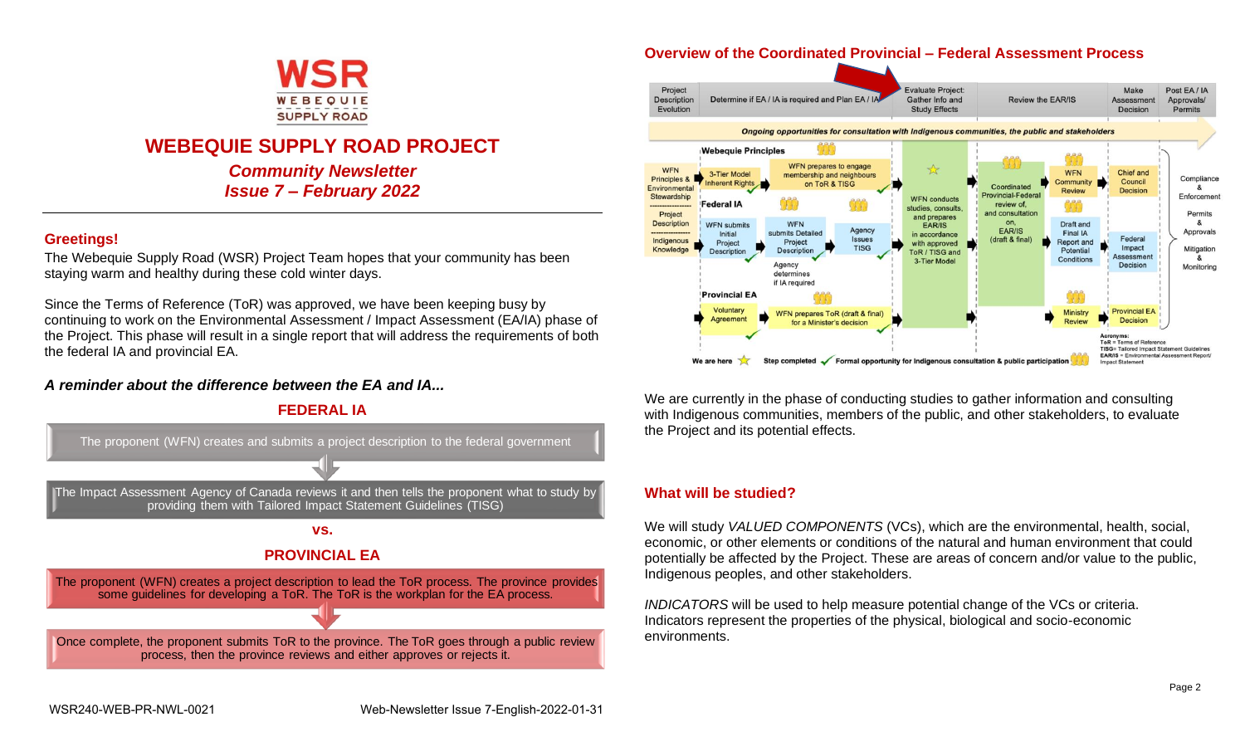

# **WEBEQUIE SUPPLY ROAD PROJECT**

*Community Newsletter Issue 7 – February 2022*

### **Greetings!**

The Webequie Supply Road (WSR) Project Team hopes that your community has been staying warm and healthy during these cold winter days.

Since the Terms of Reference (ToR) was approved, we have been keeping busy by continuing to work on the Environmental Assessment / Impact Assessment (EA/IA) phase of the Project. This phase will result in a single report that will address the requirements of both the federal IA and provincial EA.

### *A reminder about the difference between the EA and IA...*



### **Overview of the Coordinated Provincial – Federal Assessment Process**



We are currently in the phase of conducting studies to gather information and consulting with Indigenous communities, members of the public, and other stakeholders, to evaluate the Project and its potential effects.

### **What will be studied?**

We will study *VALUED COMPONENTS* (VCs), which are the environmental, health, social, economic, or other elements or conditions of the natural and human environment that could potentially be affected by the Project. These are areas of concern and/or value to the public, Indigenous peoples, and other stakeholders.

*INDICATORS* will be used to help measure potential change of the VCs or criteria. Indicators represent the properties of the physical, biological and socio-economic environments.